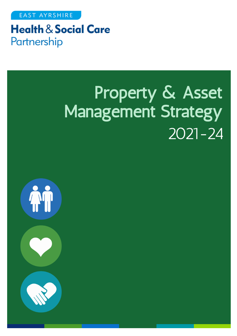**EAST AYRSHIRE** 

## **Health & Social Care** Partnership

# Property & Asset Management Strategy 2021-24

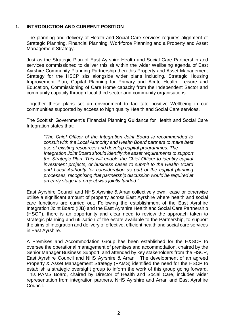#### **1. INTRODUCTION AND CURRENT POSITION**

The planning and delivery of Health and Social Care services requires alignment of Strategic Planning, Financial Planning, Workforce Planning and a Property and Asset Management Strategy.

Just as the Strategic Plan of East Ayrshire Health and Social Care Partnership and services commissioned to deliver this sit within the wider Wellbeing agenda of East Ayrshire Community Planning Partnership then this Property and Asset Management Strategy for the HSCP sits alongside wider plans including, Strategic Housing Improvement Plan, Capital Planning for Primary and Acute Health, Leisure and Education, Commissioning of Care Home capacity from the Independent Sector and community capacity through local third sector and community organisations.

Together these plans set an environment to facilitate positive Wellbeing in our communities supported by access to high quality Health and Social Care services.

The Scottish Government's Financial Planning Guidance for Health and Social Care Integration states that:

*"The Chief Officer of the Integration Joint Board is recommended to consult with the Local Authority and Health Board partners to make best use of existing resources and develop capital programmes. The Integration Joint Board should identify the asset requirements to support the Strategic Plan. This will enable the Chief Officer to identify capital investment projects, or business cases to submit to the Health Board and Local Authority for consideration as part of the capital planning processes, recognising that partnership discussion would be required at an early stage if a project was jointly funded."*

East Ayrshire Council and NHS Ayrshire & Arran collectively own, lease or otherwise utilise a significant amount of property across East Ayrshire where health and social care functions are carried out. Following the establishment of the East Ayrshire Integration Joint Board (IJB) and the East Ayrshire Health and Social Care Partnership (HSCP), there is an opportunity and clear need to review the approach taken to strategic planning and utilisation of the estate available to the Partnership, to support the aims of integration and delivery of effective, efficient health and social care services in East Ayrshire.

A Premises and Accommodation Group has been established for the H&SCP to oversee the operational management of premises and accommodation, chaired by the Senior Manager Business Support, and attended by key stakeholders from the HSCP, East Ayrshire Council and NHS Ayrshire & Arran. The development of an agreed Property & Asset Management Strategy (PAMS) identified the need for the HSCP to establish a strategic oversight group to inform the work of this group going forward. This PAMS Board, chaired by Director of Health and Social Care, includes wider representation from integration partners, NHS Ayrshire and Arran and East Ayrshire Council.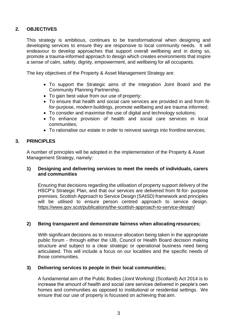#### **2. OBJECTIVES**

This strategy is ambitious, continues to be transformational when designing and developing services to ensure they are responsive to local community needs. It will endeavour to develop approaches that support overall wellbeing and in doing so, promote a trauma-informed approach to design which creates environments that inspire a sense of calm, safety, dignity, empowerment, and wellbeing for all occupants.

The key objectives of the Property & Asset Management Strategy are:

- To support the Strategic aims of the Integration Joint Board and the Community Planning Partnership.
- To gain best value from our use of property;
- To ensure that health and social care services are provided in and from fitfor-purpose, modern buildings, promote wellbeing and are trauma informed;
- To consider and maximise the use of digital and technology solutions;
- To enhance provision of health and social care services in local communities;
- To rationalise our estate in order to reinvest savings into frontline services;

#### **3. PRINCIPLES**

A number of principles will be adopted in the implementation of the Property & Asset Management Strategy, namely:

#### **1) Designing and delivering services to meet the needs of individuals, carers and communities**

Ensuring that decisions regarding the utilisation of property support delivery of the HSCP's Strategic Plan, and that our services are delivered from fit-for- purpose premises. Scottish Approach to Service Design (SAtSD) framework and principles will be utilised to ensure person centred approach to service design. <https://www.gov.scot/publications/the-scottish-approach-to-service-design/>

#### **2) Being transparent and demonstrate fairness when allocating resources;**

With significant decisions as to resource allocation being taken in the appropriate public forum - through either the IJB, Council or Health Board decision making structure and subject to a clear strategic or operational business need being articulated. This will include a focus on our localities and the specific needs of those communities.

#### **3) Delivering services to people in their local communities;**

A fundamental aim of the Public Bodies (Joint Working) (Scotland) Act 2014 is to increase the amount of health and social care services delivered in people's own homes and communities as opposed to institutional or residential settings. We ensure that our use of property is focussed on achieving that aim.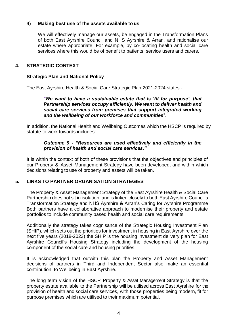#### **4) Making best use of the assets available to us**

We will effectively manage our assets, be engaged in the Transformation Plans of both East Ayrshire Council and NHS Ayrshire & Arran, and rationalise our estate where appropriate. For example, by co-locating health and social care services where this would be of benefit to patients, service users and carers.

#### **4. STRATEGIC CONTEXT**

#### **Strategic Plan and National Policy**

The East Ayrshire Health & Social Care Strategic Plan 2021-2024 states:-

*"We want to have a sustainable estate that is 'fit for purpose', that Partnership services occupy efficiently. We want to deliver health and social care services from premises that support integrated working and the wellbeing of our workforce and communities*".

In addition, the National Health and Wellbeing Outcomes which the HSCP is required by statute to work towards includes:-

#### *Outcome 9 - "Resources are used effectively and efficiently in the provision of health and social care services."*

It is within the context of both of these provisions that the objectives and principles of our Property & Asset Management Strategy have been developed, and within which decisions relating to use of property and assets will be taken.

#### **5. LINKS TO PARTNER ORGANISATION STRATEGIES**

The Property & Asset Management Strategy of the East Ayrshire Health & Social Care Partnership does not sit in isolation, and is linked closely to both East Ayrshire Council's Transformation Strategy and NHS Ayrshire & Arran's Caring for Ayrshire Programme Both partners have a collaborative approach to modernise their property and estate portfolios to include community based health and social care requirements.

Additionally the strategy takes cognisance of the Strategic Housing Investment Plan (SHIP), which sets out the priorities for investment in housing in East Ayrshire over the next five years (2018-2023) the SHIP is the housing investment delivery plan for East Ayrshire Council's Housing Strategy including the development of the housing component of the social care and housing priorities.

It is acknowledged that outwith this plan the Property and Asset Management decisions of partners in Third and Independent Sector also make an essential contribution to Wellbeing in East Ayrshire.

The long term vision of the HSCP Property & Asset Management Strategy is that the property estate available to the Partnership will be utilised across East Ayrshire for the provision of health and social care services, with those properties being modern, fit for purpose premises which are utilised to their maximum potential.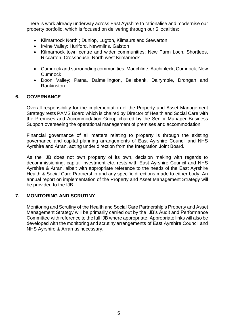There is work already underway across East Ayrshire to rationalise and modernise our property portfolio, which is focused on delivering through our 5 localities:

- Kilmarnock North; Dunlop, Lugton, Kilmaurs and Stewarton
- Irvine Valley; Hurlford, Newmilns, Galston
- Kilmarnock town centre and wider communities: New Farm Loch, Shortlees, Riccarton, Crosshouse, North west Kilmarnock
- Cumnock and surrounding communities; Mauchline, Auchinleck, Cumnock, New **Cumnock**
- Doon Valley; Patna, Dalmellington, Bellsbank, Dalrymple, Drongan and Rankinston

#### **6. GOVERNANCE**

Overall responsibility for the implementation of the Property and Asset Management Strategy rests PAMS Board which is chaired by Director of Health and Social Care with the Premises and Accommodation Group chaired by the Senior Manager Business Support overseeing the operational management of premises and accommodation.

Financial governance of all matters relating to property is through the existing governance and capital planning arrangements of East Ayrshire Council and NHS Ayrshire and Arran, acting under direction from the Integration Joint Board.

As the IJB does not own property of its own, decision making with regards to decommissioning, capital investment etc. rests with East Ayrshire Council and NHS Ayrshire & Arran, albeit with appropriate reference to the needs of the East Ayrshire Health & Social Care Partnership and any specific directions made to either body. An annual report on implementation of the Property and Asset Management Strategy will be provided to the IJB.

#### **7. MONITORING AND SCRUTINY**

Monitoring and Scrutiny of the Health and Social Care Partnership's Property and Asset Management Strategy will be primarily carried out by the IJB's Audit and Performance Committee with reference to the full IJB where appropriate. Appropriate links will also be developed with the monitoring and scrutiny arrangements of East Ayrshire Council and NHS Ayrshire & Arran as necessary.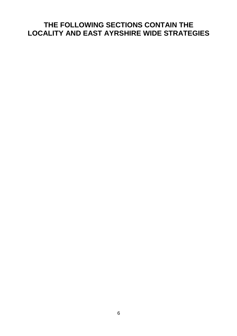### **THE FOLLOWING SECTIONS CONTAIN THE LOCALITY AND EAST AYRSHIRE WIDE STRATEGIES**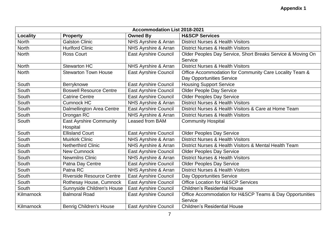| <b>Accommodation List 2018-2021</b> |                                   |                              |                                                             |  |  |
|-------------------------------------|-----------------------------------|------------------------------|-------------------------------------------------------------|--|--|
| Locality                            | <b>Property</b>                   | <b>Owned By</b>              | <b>H&amp;SCP Services</b>                                   |  |  |
| <b>North</b>                        | <b>Galston Clinic</b>             | NHS Ayrshire & Arran         | <b>District Nurses &amp; Health Visitors</b>                |  |  |
| <b>North</b>                        | <b>Hurlford Clinic</b>            | NHS Ayrshire & Arran         | <b>District Nurses &amp; Health Visitors</b>                |  |  |
| <b>North</b>                        | <b>Ross Court</b>                 | East Ayrshire Council        | Older Peoples Day Service, Short Breaks Service & Moving On |  |  |
|                                     |                                   |                              | Service                                                     |  |  |
| <b>North</b>                        | <b>Stewarton HC</b>               | NHS Ayrshire & Arran         | <b>District Nurses &amp; Health Visitors</b>                |  |  |
| <b>North</b>                        | <b>Stewarton Town House</b>       | <b>East Ayrshire Council</b> | Office Accommodation for Community Care Locality Team &     |  |  |
|                                     |                                   |                              | Day Opportunities Service                                   |  |  |
| South                               | Berryknowe                        | <b>East Ayrshire Council</b> | <b>Housing Support Service</b>                              |  |  |
| South                               | <b>Boswell Resource Centre</b>    | <b>East Ayrshire Council</b> | <b>Older People Day Service</b>                             |  |  |
| South                               | <b>Catrine Centre</b>             | <b>East Ayrshire Council</b> | <b>Older Peoples Day Service</b>                            |  |  |
| South                               | Cumnock HC                        | NHS Ayrshire & Arran         | <b>District Nurses &amp; Health Visitors</b>                |  |  |
| South                               | Dalmellington Area Centre         | <b>East Ayrshire Council</b> | District Nurses & Health Visitors & Care at Home Team       |  |  |
| South                               | Drongan RC                        | NHS Ayrshire & Arran         | <b>District Nurses &amp; Health Visitors</b>                |  |  |
| South                               | <b>East Ayrshire Community</b>    | Leased from BAM              | <b>Community Hospital</b>                                   |  |  |
|                                     | Hospital                          |                              |                                                             |  |  |
| South                               | <b>Ellisland Court</b>            | East Ayrshire Council        | <b>Older Peoples Day Service</b>                            |  |  |
| South                               | <b>Muirkirk Clinic</b>            | NHS Ayrshire & Arran         | <b>District Nurses &amp; Health Visitors</b>                |  |  |
| South                               | <b>Netherthird Clinic</b>         | NHS Ayrshire & Arran         | District Nurses & Health Visitors & Mental Health Team      |  |  |
| South                               | <b>New Cumnock</b>                | East Ayrshire Council        | <b>Older Peoples Day Service</b>                            |  |  |
| South                               | <b>Newmilns Clinic</b>            | NHS Ayrshire & Arran         | <b>District Nurses &amp; Health Visitors</b>                |  |  |
| South                               | Patna Day Centre                  | East Ayrshire Council        | <b>Older Peoples Day Service</b>                            |  |  |
| South                               | Patna RC                          | NHS Ayrshire & Arran         | <b>District Nurses &amp; Health Visitors</b>                |  |  |
| South                               | <b>Riverside Resource Centre</b>  | East Ayrshire Council        | Day Opportunities Service                                   |  |  |
| South                               | Rothesay House, Cumnock           | <b>East Ayrshire Council</b> | <b>Office Location for H&amp;SCP Services</b>               |  |  |
| South                               | <b>Sunnyside Children's House</b> | <b>East Ayrshire Council</b> | <b>Children's Residential House</b>                         |  |  |
| Kilmarnock                          | <b>Balmoral Road</b>              | <b>East Ayrshire Council</b> | Office Accommodation for H&SCP Teams & Day Opportunities    |  |  |
|                                     |                                   |                              | Service                                                     |  |  |
| Kilmarnock                          | <b>Benrig Children's House</b>    | <b>East Ayrshire Council</b> | <b>Children's Residential House</b>                         |  |  |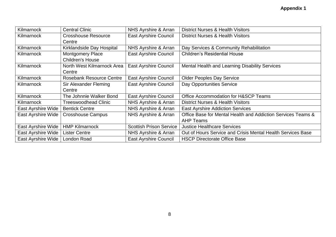| Kilmarnock                | <b>Central Clinic</b>           | NHS Ayrshire & Arran           | <b>District Nurses &amp; Health Visitors</b>                 |
|---------------------------|---------------------------------|--------------------------------|--------------------------------------------------------------|
| Kilmarnock                | <b>Crosshouse Resource</b>      | <b>East Ayrshire Council</b>   | <b>District Nurses &amp; Health Visitors</b>                 |
|                           | Centre                          |                                |                                                              |
| Kilmarnock                | Kirklandside Day Hospital       | NHS Ayrshire & Arran           | Day Services & Community Rehabilitation                      |
| Kilmarnock                | <b>Montgomery Place</b>         | East Ayrshire Council          | <b>Children's Residential House</b>                          |
|                           | <b>Children's House</b>         |                                |                                                              |
| Kilmarnock                | North West Kilmarnock Area      | <b>East Ayrshire Council</b>   | Mental Health and Learning Disability Services               |
|                           | Centre                          |                                |                                                              |
| Kilmarnock                | <b>Rosebank Resource Centre</b> | <b>East Ayrshire Council</b>   | <b>Older Peoples Day Service</b>                             |
| Kilmarnock                | Sir Alexander Fleming           | <b>East Ayrshire Council</b>   | Day Opportunities Service                                    |
|                           | Centre                          |                                |                                                              |
| Kilmarnock                | The Johnnie Walker Bond         | <b>East Ayrshire Council</b>   | Office Accommodation for H&SCP Teams                         |
| Kilmarnock                | <b>Treeswoodhead Clinic</b>     | NHS Ayrshire & Arran           | <b>District Nurses &amp; Health Visitors</b>                 |
| East Ayrshire Wide        | <b>Bentick Centre</b>           | NHS Ayrshire & Arran           | <b>East Ayrshire Addiction Services</b>                      |
| <b>East Ayrshire Wide</b> | <b>Crosshouse Campus</b>        | NHS Ayrshire & Arran           | Office Base for Mental Health and Addiction Services Teams & |
|                           |                                 |                                | <b>AHP Teams</b>                                             |
| <b>East Ayrshire Wide</b> | <b>HMP Kilmarnock</b>           | <b>Scottish Prison Service</b> | <b>Justice Healthcare Services</b>                           |
| East Ayrshire Wide        | <b>Lister Centre</b>            | NHS Ayrshire & Arran           | Out of Hours Service and Crisis Mental Health Services Base  |
| East Ayrshire Wide        | London Road                     | <b>East Ayrshire Council</b>   | <b>HSCP Directorate Office Base</b>                          |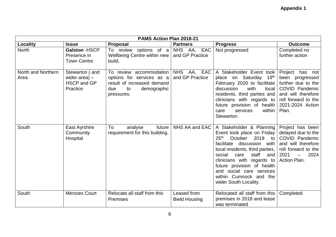|                            |                                                                     | PAMS Action Plan 2018-21                                                                                                     |                                          |                                                                                                                                                                                                                                                                                                                                             |                                                                                                                                                                          |
|----------------------------|---------------------------------------------------------------------|------------------------------------------------------------------------------------------------------------------------------|------------------------------------------|---------------------------------------------------------------------------------------------------------------------------------------------------------------------------------------------------------------------------------------------------------------------------------------------------------------------------------------------|--------------------------------------------------------------------------------------------------------------------------------------------------------------------------|
| Locality                   | <b>Issue</b>                                                        | <b>Proposal</b>                                                                                                              | <b>Partners</b>                          | <b>Progress</b>                                                                                                                                                                                                                                                                                                                             | <b>Outcome</b>                                                                                                                                                           |
| <b>North</b>               | <b>Galston - HSCP</b><br>Presence in<br><b>Town Centre</b>          | To review options of $a \mid NHS$ AA, EAC<br>Wellbeing Centre within new  <br>build.                                         | and GP Practice                          | Not progressed                                                                                                                                                                                                                                                                                                                              | Completed no<br>further action                                                                                                                                           |
| North and Northern<br>Area | Stewarton (and<br>wider area) $-$<br><b>HSCP and GP</b><br>Practice | To review accommodation<br>options for services as a<br>result of increased demand<br>demographic<br>to<br>due<br>pressures. | <b>NHS</b><br>AA, EAC<br>and GP Practice | A Stakeholder Event took<br>place on Saturday 19th<br>February 2020 to facilitate<br>discussion<br>with<br>local<br>residents, third parties and<br>clinicians with regards to<br>future provision of health<br>services<br>care<br>within<br>Stewarton.                                                                                    | Project has not<br>been progressed<br>further due to the<br><b>COVID Pandemic</b><br>and will therefore<br>roll forward to the<br>2021-2024 Action<br>Plan.              |
| South                      | East Ayrshire<br>Community<br>Hospital                              | future<br>To<br>analyse<br>requirement for this building.                                                                    | NHS AA and EAC                           | A Stakeholder & Planning<br>Event took place on Friday<br>25 <sup>th</sup><br>October 2019 to<br>facilitate discussion with<br>local residents, third parties,<br>staff<br>social<br>care<br>and<br>clinicians with regards to<br>future provision of health<br>and social care services<br>within Cumnock and the<br>wider South Locality. | Project has been<br>delayed due to the<br><b>COVID Pandemic</b><br>and will therefore<br>roll forward to the<br>2021<br>2024<br>$\overline{\phantom{m}}$<br>Action Plan. |
| South                      | <b>Menzies Court</b>                                                | Relocate all staff from this<br><b>Premises</b>                                                                              | Leased from<br><b>Bield Housing</b>      | Relocated all staff from this<br>premises in 2018 and lease<br>was terminated                                                                                                                                                                                                                                                               | Completed                                                                                                                                                                |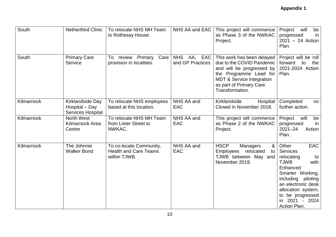| South      | <b>Netherthird Clinic</b>                                      | To relocate NHS MH Team<br>to Rothesay House.                           | NHS AA and EAC                               | This project will commence<br>as Phase 3 of the NWKAC<br>Project.                                                                                                                                    | will<br>Project<br>be<br>progressed<br>in<br>$2021 - 24$ Action<br>Plan.                                                                                                                                                                     |
|------------|----------------------------------------------------------------|-------------------------------------------------------------------------|----------------------------------------------|------------------------------------------------------------------------------------------------------------------------------------------------------------------------------------------------------|----------------------------------------------------------------------------------------------------------------------------------------------------------------------------------------------------------------------------------------------|
| South      | <b>Primary Care</b><br>Service                                 | review Primary<br>Care<br>To<br>provision in localities.                | <b>NHS</b><br>EAC<br>AA,<br>and GP Practices | This work has been delayed<br>due to the COVID Pandemic<br>and will be progressed by<br>the Programme Lead for<br><b>MDT &amp; Service Integration</b><br>as part of Primary Care<br>Transformation. | Project will be roll<br>forward<br>to<br>the<br>2021-2024 Action<br>Plan.                                                                                                                                                                    |
| Kilmarnock | Kirklandside Day<br>Hospital - Day<br><b>Services Hospital</b> | To relocate NHS employees<br>based at this location.                    | NHS AA and<br><b>EAC</b>                     | Kirklandside<br>Hospital<br>Closed in November 2018.                                                                                                                                                 | Completed<br>no<br>further action.                                                                                                                                                                                                           |
| Kilmarnock | North West<br><b>Kilmarnock Area</b><br>Centre                 | To relocate NHS MH Team<br>from Lister Street to<br>NWKAC.              | NHS AA and<br><b>EAC</b>                     | This project will commence<br>as Phase 2 of the NWKAC<br>Project.                                                                                                                                    | Project<br>will<br>be<br>progressed<br>in<br>$2021 - 24$<br>Action<br>Plan.                                                                                                                                                                  |
| Kilmarnock | The Johnnie<br><b>Walker Bond</b>                              | To co-locate Community,<br><b>Health and Care Teams</b><br>within TJWB. | NHS AA and<br><b>EAC</b>                     | <b>HSCP</b><br>&<br>Managers<br><b>Employees</b><br>relocated<br>to<br>TJWB between May and<br>November 2019.                                                                                        | Other<br><b>EAC</b><br><b>Services</b><br>relocating<br>to<br><b>TJWB</b><br>with<br>Enhanced<br>Smarter Working,<br>including<br>piloting<br>an electronic desk<br>allocation system,<br>to be progressed<br>in 2021 - 2024<br>Action Plan. |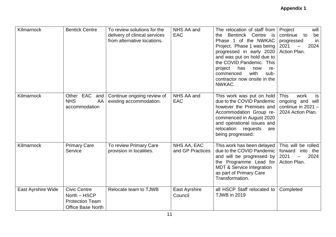| Kilmarnock         | <b>Bentick Centre</b>                                                                     | To review solutions for the<br>delivery of clinical services<br>from alternative locations. | NHS AA and<br><b>EAC</b>        | The relocation of staff from<br>Bentinck Centre is<br>the<br>Phase 1 of the NWKAC<br>Project. Phase 1 was being<br>progressed in early 2020<br>and was put on hold due to<br>the COVID Pandemic. This<br>project<br>has<br>now<br>re-<br>with<br>commenced<br>sub-<br>contractor now onsite in the<br>NWKAC. | Project<br>will<br>continue<br>be<br>to<br>progressed<br>in<br>2021<br>2024<br>Action Plan. |
|--------------------|-------------------------------------------------------------------------------------------|---------------------------------------------------------------------------------------------|---------------------------------|--------------------------------------------------------------------------------------------------------------------------------------------------------------------------------------------------------------------------------------------------------------------------------------------------------------|---------------------------------------------------------------------------------------------|
| Kilmarnock         | Other EAC<br>and<br><b>NHS</b><br>AA<br>accommodation                                     | Continue ongoing review of<br>existing accommodation.                                       | NHS AA and<br><b>EAC</b>        | This work was put on hold<br>due to the COVID Pandemic<br>however the Premises and<br>Accommodation Group re-<br>commenced in August 2020<br>and operational issues and<br>relocation requests<br>are<br>being progressed.                                                                                   | <b>This</b><br>work<br>is<br>ongoing and will<br>continue in $2021 -$<br>2024 Action Plan.  |
| Kilmarnock         | <b>Primary Care</b><br>Service                                                            | To review Primary Care<br>provision in localities.                                          | NHS AA, EAC<br>and GP Practices | This work has been delayed<br>due to the COVID Pandemic<br>and will be progressed by<br>the Programme Lead for<br><b>MDT &amp; Service Integration</b><br>as part of Primary Care<br>Transformation.                                                                                                         | This will be rolled<br>forward<br>into the<br>2024<br>2021<br>Action Plan.                  |
| East Ayrshire Wide | <b>Civic Centre</b><br>North - HSCP<br><b>Protection Team</b><br><b>Office Base North</b> | Relocate team to TJWB                                                                       | East Ayrshire<br>Council        | all HSCP Staff relocated to<br><b>TJWB</b> in 2019                                                                                                                                                                                                                                                           | Completed                                                                                   |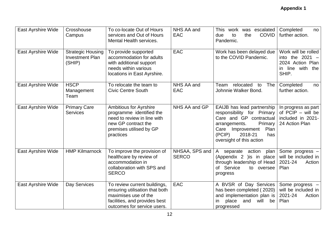| East Ayrshire Wide | Crosshouse<br>Campus                                         | To co-locate Out of Hours<br>services and Out of Hours<br>Mental Health services.                                                                       | NHS AA and<br><b>EAC</b>       | work was escalated<br>This<br><b>COVID</b><br>due<br>to<br>the<br>Pandemic.                                                                                                                            | Completed<br>no<br>further action.                                                        |
|--------------------|--------------------------------------------------------------|---------------------------------------------------------------------------------------------------------------------------------------------------------|--------------------------------|--------------------------------------------------------------------------------------------------------------------------------------------------------------------------------------------------------|-------------------------------------------------------------------------------------------|
| East Ayrshire Wide | <b>Strategic Housing</b><br><b>Investment Plan</b><br>(SHIP) | To provide supported<br>accommodation for adults<br>with additional support<br>needs within various<br>locations in East Ayrshire.                      | <b>EAC</b>                     | Work has been delayed due<br>to the COVID Pandemic.                                                                                                                                                    | Work will be rolled<br>into the $2021 -$<br>2024 Action Plan<br>in line with the<br>SHIP. |
| East Ayrshire Wide | <b>HSCP</b><br>Management<br>Team                            | To relocate the team to<br><b>Civic Centre South</b>                                                                                                    | NHS AA and<br><b>EAC</b>       | relocated<br>Team<br>The<br>to<br>Johnnie Walker Bond.                                                                                                                                                 | Completed<br>no<br>further action.                                                        |
| East Ayrshire Wide | <b>Primary Care</b><br><b>Services</b>                       | <b>Ambitious for Ayrshire</b><br>programme identified the<br>need to review in line with<br>new GP contract the<br>premises utilised by GP<br>practices | NHS AA and GP                  | EAIJB has lead partnership<br>responsibility for Primary<br>Care and GP contractual<br>Primary<br>arrangements.<br>Improvement<br>Plan<br>Care<br>(PCIP)<br>2018-21<br>has<br>oversight of this action | In progress as part<br>of PCIP - will be<br>included in 2021-<br>24 Action Plan           |
| East Ayrshire Wide | <b>HMP Kilmarnock</b>                                        | To improve the provision of<br>healthcare by review of<br>accommodation in<br>collaboration with SPS and<br><b>SERCO</b>                                | NHSAA, SPS and<br><b>SERCO</b> | action<br>separate<br>plan  <br>A<br>(Appendix 2 ) is in place<br>through leadership of Head<br>of Service<br>to oversee<br>progress                                                                   | Some progress -<br>will be included in<br>2021-24<br>Action<br>Plan                       |
| East Ayrshire Wide | Day Services                                                 | To review current buildings,<br>ensuring utilisation that both<br>maximises use of the<br>facilities, and provides best<br>outcomes for service users.  | <b>EAC</b>                     | A BVSR of Day Services<br>has been completed (2020)<br>and implementation plan is<br>place<br>and<br>will<br>be<br>in.<br>progressed                                                                   | Some progress -<br>will be included in<br>2021-24<br>Action<br>Plan                       |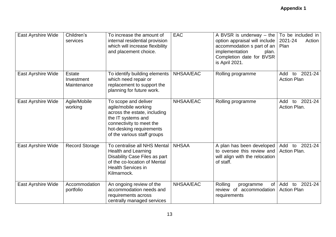| East Ayrshire Wide | Children's<br>services                     | To increase the amount of<br>internal residential provision<br>which will increase flexibility<br>and placement choice.                                                                   | <b>EAC</b>   | A BVSR is underway $-$ the $\vert$ To be included in<br>option appraisal will include  <br>accommodation s part of an  <br>implementation<br>plan.<br>Completion date for BVSR<br>is April 2021. | 2021-24<br>Action<br>Plan                  |
|--------------------|--------------------------------------------|-------------------------------------------------------------------------------------------------------------------------------------------------------------------------------------------|--------------|--------------------------------------------------------------------------------------------------------------------------------------------------------------------------------------------------|--------------------------------------------|
| East Ayrshire Wide | <b>Estate</b><br>Investment<br>Maintenance | To identify building elements<br>which need repair or<br>replacement to support the<br>planning for future work.                                                                          | NHSAA/EAC    | Rolling programme                                                                                                                                                                                | 2021-24<br>Add<br>to<br><b>Action Plan</b> |
| East Ayrshire Wide | Agile/Mobile<br>working                    | To scope and deliver<br>agile/mobile working<br>across the estate, including<br>the IT systems and<br>connectivity to meet the<br>hot-desking requirements<br>of the various staff groups | NHSAA/EAC    | Rolling programme                                                                                                                                                                                | 2021-24<br>Add<br>to<br>Action Plan.       |
| East Ayrshire Wide | <b>Record Storage</b>                      | To centralise all NHS Mental<br><b>Health and Learning</b><br>Disability Case Files as part<br>of the co-location of Mental<br><b>Health Services in</b><br>Kilmarnock.                   | <b>NHSAA</b> | A plan has been developed<br>to oversee this review and<br>will align with the relocation<br>of staff.                                                                                           | to 2021-24<br>Add<br>Action Plan.          |
| East Ayrshire Wide | Accommodation<br>portfolio                 | An ongoing review of the<br>accommodation needs and<br>requirements across<br>centrally managed services                                                                                  | NHSAA/EAC    | Rolling<br>of <sub>1</sub><br>programme<br>review of accommodation<br>requirements                                                                                                               | Add<br>2021-24<br>to<br><b>Action Plan</b> |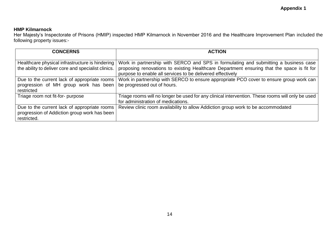#### **HMP Kilmarnock**

Her Majesty's Inspectorate of Prisons (HMIP) inspected HMP Kilmarnock in November 2016 and the Healthcare Improvement Plan included the following property issues:-

| <b>CONCERNS</b>                                                                                             | <b>ACTION</b>                                                                                                                                                                                                                                    |
|-------------------------------------------------------------------------------------------------------------|--------------------------------------------------------------------------------------------------------------------------------------------------------------------------------------------------------------------------------------------------|
| Healthcare physical infrastructure is hindering<br>the ability to deliver core and specialist clinics.      | Work in partnership with SERCO and SPS in formulating and submitting a business case<br>proposing renovations to existing Healthcare Department ensuring that the space is fit for<br>purpose to enable all services to be delivered effectively |
| Due to the current lack of appropriate rooms<br>progression of MH group work has been<br>restricted         | Work in partnership with SERCO to ensure appropriate PCO cover to ensure group work can<br>be progressed out of hours.                                                                                                                           |
| Triage room not fit-for- purpose                                                                            | Triage rooms will no longer be used for any clinical intervention. These rooms will only be used<br>for administration of medications.                                                                                                           |
| Due to the current lack of appropriate rooms<br>progression of Addiction group work has been<br>restricted. | Review clinic room availability to allow Addiction group work to be accommodated                                                                                                                                                                 |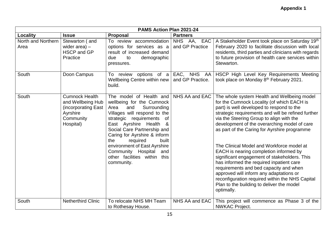|                            | PAMS Action Plan 2021-24                                                                                |                                                                                                                                                                                                                                                                                                                                                                                    |                                             |                                                                                                                                                                                                                                                                                                                                                                                                                                                                                                                                                                                                                                                                                                                                |  |
|----------------------------|---------------------------------------------------------------------------------------------------------|------------------------------------------------------------------------------------------------------------------------------------------------------------------------------------------------------------------------------------------------------------------------------------------------------------------------------------------------------------------------------------|---------------------------------------------|--------------------------------------------------------------------------------------------------------------------------------------------------------------------------------------------------------------------------------------------------------------------------------------------------------------------------------------------------------------------------------------------------------------------------------------------------------------------------------------------------------------------------------------------------------------------------------------------------------------------------------------------------------------------------------------------------------------------------------|--|
| Locality                   | <b>Issue</b>                                                                                            | <b>Proposal</b>                                                                                                                                                                                                                                                                                                                                                                    | <b>Partners</b>                             |                                                                                                                                                                                                                                                                                                                                                                                                                                                                                                                                                                                                                                                                                                                                |  |
| North and Northern<br>Area | Stewarton (and<br>wider area) $-$<br><b>HSCP and GP</b><br>Practice                                     | To review accommodation<br>options for services as a<br>result of increased demand<br>due<br>to<br>demographic<br>pressures.                                                                                                                                                                                                                                                       | <b>NHS</b><br>AA,<br>EAC<br>and GP Practice | A Stakeholder Event took place on Saturday 19th<br>February 2020 to facilitate discussion with local<br>residents, third parties and clinicians with regards<br>to future provision of health care services within<br>Stewarton.                                                                                                                                                                                                                                                                                                                                                                                                                                                                                               |  |
| South                      | Doon Campus                                                                                             | To review options of a<br><b>Wellbeing Centre within new</b><br>build.                                                                                                                                                                                                                                                                                                             | EAC, NHS AA<br>and GP Practice.             | HSCP High Level Key Requirements Meeting<br>took place on Monday 8th February 2021.                                                                                                                                                                                                                                                                                                                                                                                                                                                                                                                                                                                                                                            |  |
| South                      | <b>Cumnock Health</b><br>and Wellbeing Hub<br>(incorporating East<br>Ayrshire<br>Community<br>Hospital) | The model of Health and<br>wellbeing for the Cumnock<br>Area<br>Surrounding<br>and<br>Villages will respond to the<br>strategic requirements of<br>East Ayrshire Health<br>&<br>Social Care Partnership and<br>Caring for Ayrshire & inform<br>the<br>required<br>built<br>environment of East Ayrshire<br>Community Hospital<br>and<br>other facilities within this<br>community. | NHS AA and EAC                              | The whole system Health and Wellbeing model<br>for the Cumnock Locality (of which EACH is<br>part) is well developed to respond to the<br>strategic requirements and will be refined further<br>via the Steering Group to align with the<br>development of the overarching model of care<br>as part of the Caring for Ayrshire programme<br>The Clinical Model and Workforce model at<br>EACH is nearing completion informed by<br>significant engagement of stakeholders. This<br>has informed the required inpatient care<br>requirements and bed capacity and when<br>approved will inform any adaptations or<br>reconfiguration required within the NHS Capital<br>Plan to the building to deliver the model<br>optimally. |  |
| South                      | <b>Netherthird Clinic</b>                                                                               | To relocate NHS MH Team<br>to Rothesay House.                                                                                                                                                                                                                                                                                                                                      | NHS AA and EAC                              | This project will commence as Phase 3 of the<br><b>NWKAC Project.</b>                                                                                                                                                                                                                                                                                                                                                                                                                                                                                                                                                                                                                                                          |  |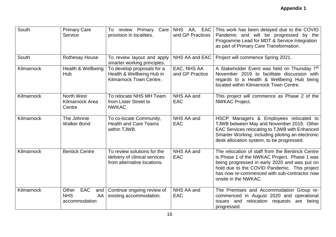| South      | <b>Primary Care</b><br>Service                                  | To review Primary<br>Care<br>provision in localities.                                       | NHS AA, EAC<br>and GP Practices | This work has been delayed due to the COVID<br>Pandemic and will be progressed by the<br>Programme Lead for MDT & Service Integration<br>as part of Primary Care Transformation.                                                                                          |
|------------|-----------------------------------------------------------------|---------------------------------------------------------------------------------------------|---------------------------------|---------------------------------------------------------------------------------------------------------------------------------------------------------------------------------------------------------------------------------------------------------------------------|
| South      | <b>Rothesay House</b>                                           | To review layout and apply<br>smarter working principles.                                   | NHS AA and EAC                  | Project will commence Spring 2021.                                                                                                                                                                                                                                        |
| Kilmarnock | Health & Wellbeing<br>Hub                                       | To develop proposals for a<br>Health & Wellbeing Hub in<br>Kilmarnock Town Centre.          | EAC, NHS AA<br>and GP Practice  | A Stakeholder Event was held on Thursday 7th<br>November 2019 to facilitate discussion with<br>regards to a Health & Wellbeing Hub being<br>located within Kilmarnock Town Centre.                                                                                        |
| Kilmarnock | North West<br>Kilmarnock Area<br>Centre                         | To relocate NHS MH Team<br>from Lister Street to<br>NWKAC.                                  | NHS AA and<br><b>EAC</b>        | This project will commence as Phase 2 of the<br><b>NWKAC Project.</b>                                                                                                                                                                                                     |
| Kilmarnock | The Johnnie<br><b>Walker Bond</b>                               | To co-locate Community,<br><b>Health and Care Teams</b><br>within TJWB.                     | NHS AA and<br><b>EAC</b>        | HSCP Managers & Employees relocated to<br>TJWB between May and November 2019. Other<br>EAC Services relocating to TJWB with Enhanced<br>Smarter Working, including piloting an electronic<br>desk allocation system, to be progressed.                                    |
| Kilmarnock | <b>Bentick Centre</b>                                           | To review solutions for the<br>delivery of clinical services<br>from alternative locations. | NHS AA and<br><b>EAC</b>        | The relocation of staff from the Bentinck Centre<br>is Phase 1 of the NWKAC Project. Phase 1 was<br>being progressed in early 2020 and was put on<br>hold due to the COVID Pandemic. This project<br>has now re-commenced with sub-contractor now<br>onsite in the NWKAC. |
| Kilmarnock | <b>EAC</b><br>Other<br>and<br><b>NHS</b><br>AA<br>accommodation | Continue ongoing review of<br>existing accommodation.                                       | NHS AA and<br><b>EAC</b>        | The Premises and Accommodation Group re-<br>commenced in August 2020 and operational<br>relocation requests<br>issues and<br>being<br>are<br>progressed.                                                                                                                  |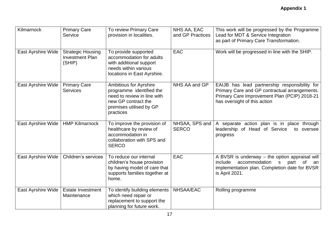| Kilmarnock                | <b>Primary Care</b><br>Service                               | To review Primary Care<br>provision in localities.                                                                                                      | NHS AA, EAC<br>and GP Practices | This work will be progressed by the Programme<br>Lead for MDT & Service Integration<br>as part of Primary Care Transformation.                                                    |
|---------------------------|--------------------------------------------------------------|---------------------------------------------------------------------------------------------------------------------------------------------------------|---------------------------------|-----------------------------------------------------------------------------------------------------------------------------------------------------------------------------------|
| <b>East Ayrshire Wide</b> | <b>Strategic Housing</b><br><b>Investment Plan</b><br>(SHIP) | To provide supported<br>accommodation for adults<br>with additional support<br>needs within various<br>locations in East Ayrshire.                      | <b>EAC</b>                      | Work will be progressed in line with the SHIP.                                                                                                                                    |
| East Ayrshire Wide        | <b>Primary Care</b><br><b>Services</b>                       | <b>Ambitious for Ayrshire</b><br>programme identified the<br>need to review in line with<br>new GP contract the<br>premises utilised by GP<br>practices | NHS AA and GP                   | EAIJB has lead partnership responsibility for<br>Primary Care and GP contractual arrangements.<br>Primary Care Improvement Plan (PCIP) 2018-21<br>has oversight of this action    |
| <b>East Ayrshire Wide</b> | <b>HMP Kilmarnock</b>                                        | To improve the provision of<br>healthcare by review of<br>accommodation in<br>collaboration with SPS and<br><b>SERCO</b>                                | NHSAA, SPS and<br><b>SERCO</b>  | separate action plan is in place through<br>$\mathsf{A}$<br>leadership of Head of Service<br>to oversee<br>progress                                                               |
| <b>East Ayrshire Wide</b> | Children's services                                          | To reduce our internal<br>children's house provision<br>by having model of care that<br>supports families together at<br>home.                          | EAC                             | A BVSR is underway - the option appraisal will<br>accommodation<br>part<br>include<br><sub>S</sub><br>0f<br>an<br>implementation plan. Completion date for BVSR<br>is April 2021. |
| <b>East Ayrshire Wide</b> | <b>Estate Investment</b><br>Maintenance                      | To identify building elements<br>which need repair or<br>replacement to support the<br>planning for future work.                                        | NHSAA/EAC                       | Rolling programme                                                                                                                                                                 |